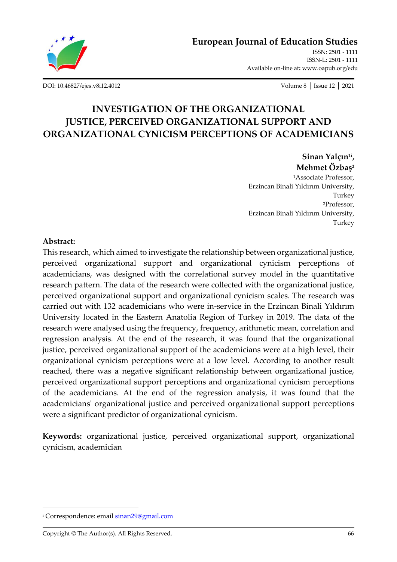

Available on-line at**:** [www.oapub.org/edu](http://www.oapub.org/edu)

[DOI: 10.46827/ejes.v8i12.4012](http://dx.doi.org/10.46827/ejes.v8i12.4012) Volume 8 │ Issue 12 │ 2021

# **INVESTIGATION OF THE ORGANIZATIONAL JUSTICE, PERCEIVED ORGANIZATIONAL SUPPORT AND ORGANIZATIONAL CYNICISM PERCEPTIONS OF ACADEMICIANS**

**Sinan Yalçın1i , Mehmet Özbaş<sup>2</sup>**

<sup>1</sup>Associate Professor, Erzincan Binali Yıldırım University, Turkey <sup>2</sup>Professor, Erzincan Binali Yıldırım University, Turkey

### **Abstract:**

This research, which aimed to investigate the relationship between organizational justice, perceived organizational support and organizational cynicism perceptions of academicians, was designed with the correlational survey model in the quantitative research pattern. The data of the research were collected with the organizational justice, perceived organizational support and organizational cynicism scales. The research was carried out with 132 academicians who were in-service in the Erzincan Binali Yıldırım University located in the Eastern Anatolia Region of Turkey in 2019. The data of the research were analysed using the frequency, frequency, arithmetic mean, correlation and regression analysis. At the end of the research, it was found that the organizational justice, perceived organizational support of the academicians were at a high level, their organizational cynicism perceptions were at a low level. According to another result reached, there was a negative significant relationship between organizational justice, perceived organizational support perceptions and organizational cynicism perceptions of the academicians. At the end of the regression analysis, it was found that the academicians' organizational justice and perceived organizational support perceptions were a significant predictor of organizational cynicism.

**Keywords:** organizational justice, perceived organizational support, organizational cynicism, academician

<sup>&</sup>lt;sup>i</sup> Correspondence: emai[l sinan29@gmail.com](mailto:sinan29@gmail.com)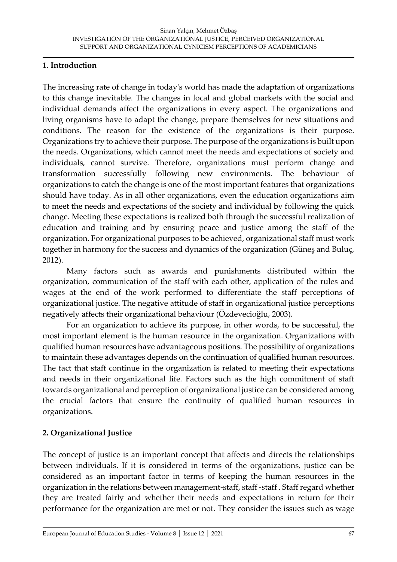### **1. Introduction**

The increasing rate of change in today's world has made the adaptation of organizations to this change inevitable. The changes in local and global markets with the social and individual demands affect the organizations in every aspect. The organizations and living organisms have to adapt the change, prepare themselves for new situations and conditions. The reason for the existence of the organizations is their purpose. Organizations try to achieve their purpose. The purpose of the organizations is built upon the needs. Organizations, which cannot meet the needs and expectations of society and individuals, cannot survive. Therefore, organizations must perform change and transformation successfully following new environments. The behaviour of organizations to catch the change is one of the most important features that organizations should have today. As in all other organizations, even the education organizations aim to meet the needs and expectations of the society and individual by following the quick change. Meeting these expectations is realized both through the successful realization of education and training and by ensuring peace and justice among the staff of the organization. For organizational purposes to be achieved, organizational staff must work together in harmony for the success and dynamics of the organization (Güneş and Buluç, 2012).

Many factors such as awards and punishments distributed within the organization, communication of the staff with each other, application of the rules and wages at the end of the work performed to differentiate the staff perceptions of organizational justice. The negative attitude of staff in organizational justice perceptions negatively affects their organizational behaviour (Özdevecioğlu, 2003).

For an organization to achieve its purpose, in other words, to be successful, the most important element is the human resource in the organization. Organizations with qualified human resources have advantageous positions. The possibility of organizations to maintain these advantages depends on the continuation of qualified human resources. The fact that staff continue in the organization is related to meeting their expectations and needs in their organizational life. Factors such as the high commitment of staff towards organizational and perception of organizational justice can be considered among the crucial factors that ensure the continuity of qualified human resources in organizations.

# **2. Organizational Justice**

The concept of justice is an important concept that affects and directs the relationships between individuals. If it is considered in terms of the organizations, justice can be considered as an important factor in terms of keeping the human resources in the organization in the relations between management-staff, staff -staff . Staff regard whether they are treated fairly and whether their needs and expectations in return for their performance for the organization are met or not. They consider the issues such as wage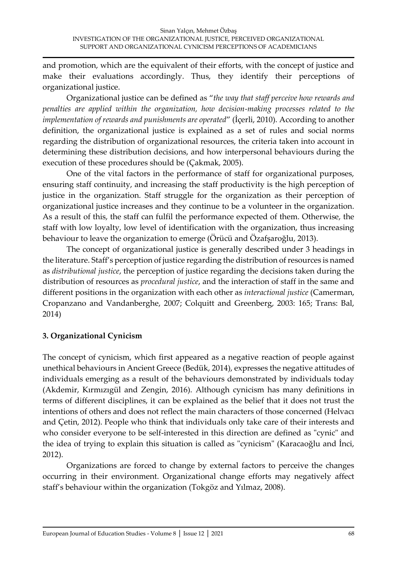and promotion, which are the equivalent of their efforts, with the concept of justice and make their evaluations accordingly. Thus, they identify their perceptions of organizational justice.

Organizational justice can be defined as "*the way that staff perceive how rewards and penalties are applied within the organization, how decision-making processes related to the implementation of rewards and punishments are operated*" (İçerli, 2010). According to another definition, the organizational justice is explained as a set of rules and social norms regarding the distribution of organizational resources, the criteria taken into account in determining these distribution decisions, and how interpersonal behaviours during the execution of these procedures should be (Çakmak, 2005).

One of the vital factors in the performance of staff for organizational purposes, ensuring staff continuity, and increasing the staff productivity is the high perception of justice in the organization. Staff struggle for the organization as their perception of organizational justice increases and they continue to be a volunteer in the organization. As a result of this, the staff can fulfil the performance expected of them. Otherwise, the staff with low loyalty, low level of identification with the organization, thus increasing behaviour to leave the organization to emerge (Örücü and Özafşaroğlu, 2013).

The concept of organizational justice is generally described under 3 headings in the literature. Staff's perception of justice regarding the distribution of resources is named as *distributional justice*, the perception of justice regarding the decisions taken during the distribution of resources as *procedural justice*, and the interaction of staff in the same and different positions in the organization with each other as *interactional justice* (Camerman, Cropanzano and Vandanberghe, 2007; Colquitt and Greenberg, 2003: 165; Trans: Bal, 2014)

### **3. Organizational Cynicism**

The concept of cynicism, which first appeared as a negative reaction of people against unethical behaviours in Ancient Greece (Bedük, 2014), expresses the negative attitudes of individuals emerging as a result of the behaviours demonstrated by individuals today (Akdemir, Kırmızıgül and Zengin, 2016). Although cynicism has many definitions in terms of different disciplines, it can be explained as the belief that it does not trust the intentions of others and does not reflect the main characters of those concerned (Helvacı and Çetin, 2012). People who think that individuals only take care of their interests and who consider everyone to be self-interested in this direction are defined as "cynic" and the idea of trying to explain this situation is called as "cynicism" (Karacaoğlu and İnci, 2012).

Organizations are forced to change by external factors to perceive the changes occurring in their environment. Organizational change efforts may negatively affect staff's behaviour within the organization (Tokgöz and Yılmaz, 2008).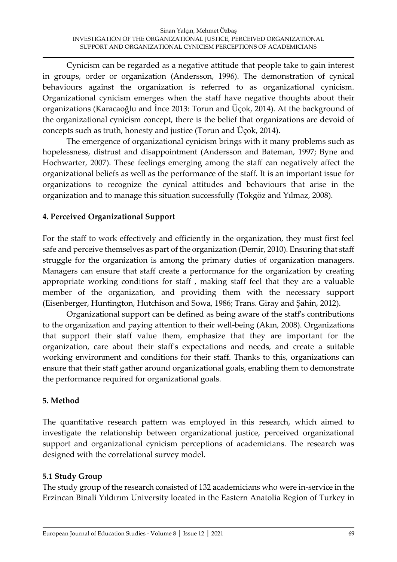Cynicism can be regarded as a negative attitude that people take to gain interest in groups, order or organization (Andersson, 1996). The demonstration of cynical behaviours against the organization is referred to as organizational cynicism. Organizational cynicism emerges when the staff have negative thoughts about their organizations (Karacaoğlu and İnce 2013: Torun and Üçok, 2014). At the background of the organizational cynicism concept, there is the belief that organizations are devoid of concepts such as truth, honesty and justice (Torun and Üçok, 2014).

The emergence of organizational cynicism brings with it many problems such as hopelessness, distrust and disappointment (Andersson and Bateman, 1997; Byne and Hochwarter, 2007). These feelings emerging among the staff can negatively affect the organizational beliefs as well as the performance of the staff. It is an important issue for organizations to recognize the cynical attitudes and behaviours that arise in the organization and to manage this situation successfully (Tokgöz and Yılmaz, 2008).

### **4. Perceived Organizational Support**

For the staff to work effectively and efficiently in the organization, they must first feel safe and perceive themselves as part of the organization (Demir, 2010). Ensuring that staff struggle for the organization is among the primary duties of organization managers. Managers can ensure that staff create a performance for the organization by creating appropriate working conditions for staff , making staff feel that they are a valuable member of the organization, and providing them with the necessary support (Eisenberger, Huntington, Hutchison and Sowa, 1986; Trans. Giray and Şahin, 2012).

Organizational support can be defined as being aware of the staff's contributions to the organization and paying attention to their well-being (Akın, 2008). Organizations that support their staff value them, emphasize that they are important for the organization, care about their staff's expectations and needs, and create a suitable working environment and conditions for their staff. Thanks to this, organizations can ensure that their staff gather around organizational goals, enabling them to demonstrate the performance required for organizational goals.

### **5. Method**

The quantitative research pattern was employed in this research, which aimed to investigate the relationship between organizational justice, perceived organizational support and organizational cynicism perceptions of academicians. The research was designed with the correlational survey model.

### **5.1 Study Group**

The study group of the research consisted of 132 academicians who were in-service in the Erzincan Binali Yıldırım University located in the Eastern Anatolia Region of Turkey in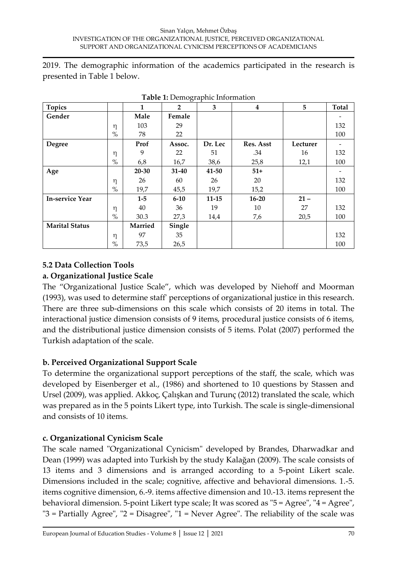2019. The demographic information of the academics participated in the research is presented in Table 1 below.

| <b>Topics</b>          |      | 1              | $\overline{2}$ | <b>rasic 1.</b> Bentographic muonnation<br>3 | 4         | 5        | Total |
|------------------------|------|----------------|----------------|----------------------------------------------|-----------|----------|-------|
|                        |      |                |                |                                              |           |          |       |
| Gender                 |      | Male           | Female         |                                              |           |          |       |
|                        | η    | 103            | 29             |                                              |           |          | 132   |
|                        | $\%$ | 78             | 22             |                                              |           |          | 100   |
| <b>Degree</b>          |      | Prof           | Assoc.         | Dr. Lec                                      | Res. Asst | Lecturer |       |
|                        | η    | 9              | 22             | 51                                           | .34       | 16       | 132   |
|                        | $\%$ | 6,8            | 16,7           | 38,6                                         | 25,8      | 12,1     | 100   |
| Age                    |      | 20-30          | 31-40          | 41-50                                        | $51+$     |          |       |
|                        | η    | 26             | 60             | 26                                           | 20        |          | 132   |
|                        | $\%$ | 19,7           | 45,5           | 19,7                                         | 15,2      |          | 100   |
| <b>In-service Year</b> |      | $1-5$          | $6 - 10$       | $11 - 15$                                    | $16 - 20$ | $21 -$   |       |
|                        | η    | 40             | 36             | 19                                           | 10        | 27       | 132   |
|                        | $\%$ | 30.3           | 27,3           | 14,4                                         | 7,6       | 20,5     | 100   |
| <b>Marital Status</b>  |      | <b>Married</b> | Single         |                                              |           |          |       |
|                        | η    | 97             | 35             |                                              |           |          | 132   |
|                        | $\%$ | 73,5           | 26,5           |                                              |           |          | 100   |

**Table 1:** Demographic Information

## **5.2 Data Collection Tools a. Organizational Justice Scale**

The "Organizational Justice Scale", which was developed by Niehoff and Moorman (1993), was used to determine staff' perceptions of organizational justice in this research. There are three sub-dimensions on this scale which consists of 20 items in total. The interactional justice dimension consists of 9 items, procedural justice consists of 6 items, and the distributional justice dimension consists of 5 items. Polat (2007) performed the Turkish adaptation of the scale.

# **b. Perceived Organizational Support Scale**

To determine the organizational support perceptions of the staff, the scale, which was developed by Eisenberger et al., (1986) and shortened to 10 questions by Stassen and Ursel (2009), was applied. Akkoç, Çalışkan and Turunç (2012) translated the scale, which was prepared as in the 5 points Likert type, into Turkish. The scale is single-dimensional and consists of 10 items.

# **c. Organizational Cynicism Scale**

The scale named "Organizational Cynicism" developed by Brandes, Dharwadkar and Dean (1999) was adapted into Turkish by the study Kalağan (2009). The scale consists of 13 items and 3 dimensions and is arranged according to a 5-point Likert scale. Dimensions included in the scale; cognitive, affective and behavioral dimensions. 1.-5. items cognitive dimension, 6.-9. items affective dimension and 10.-13. items represent the behavioral dimension. 5-point Likert type scale; It was scored as "5 = Agree", "4 = Agree", "3 = Partially Agree", "2 = Disagree", "1 = Never Agree". The reliability of the scale was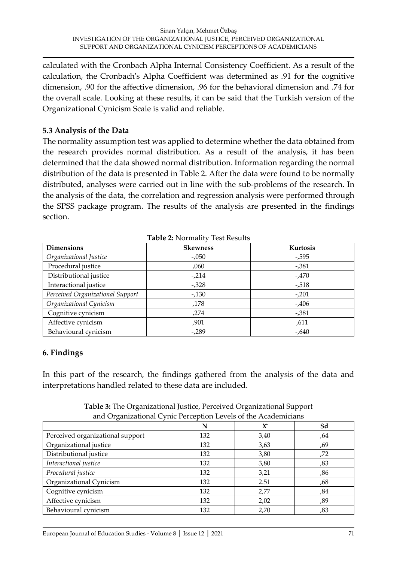calculated with the Cronbach Alpha Internal Consistency Coefficient. As a result of the calculation, the Cronbach's Alpha Coefficient was determined as .91 for the cognitive dimension, .90 for the affective dimension, .96 for the behavioral dimension and .74 for the overall scale. Looking at these results, it can be said that the Turkish version of the Organizational Cynicism Scale is valid and reliable.

### **5.3 Analysis of the Data**

The normality assumption test was applied to determine whether the data obtained from the research provides normal distribution. As a result of the analysis, it has been determined that the data showed normal distribution. Information regarding the normal distribution of the data is presented in Table 2. After the data were found to be normally distributed, analyses were carried out in line with the sub-problems of the research. In the analysis of the data, the correlation and regression analysis were performed through the SPSS package program. The results of the analysis are presented in the findings section.

| <b>Dimensions</b>                | <b>Skewness</b> | Kurtosis |
|----------------------------------|-----------------|----------|
| Organizational Justice           | $-.050$         | -,595    |
| Procedural justice               | ,060            | -,381    |
| Distributional justice           | $-214$          | $-0.470$ |
| Interactional justice            | $-0.328$        | $-0.518$ |
| Perceived Organizational Support | $-130$          | $-201$   |
| Organizational Cynicism          | .178            | $-0.406$ |
| Cognitive cynicism               | ,274            | $-0.381$ |
| Affective cynicism               | ,901            | .611     |
| Behavioural cynicism             | $-289$          | $-640$   |

**Table 2:** Normality Test Results

### **6. Findings**

In this part of the research, the findings gathered from the analysis of the data and interpretations handled related to these data are included.

| and Organizational Cynic i creeption Levels of the Academicians |     |      |     |  |  |  |  |
|-----------------------------------------------------------------|-----|------|-----|--|--|--|--|
|                                                                 | N   | x    | Sd  |  |  |  |  |
| Perceived organizational support                                | 132 | 3,40 | ,64 |  |  |  |  |
| Organizational justice                                          | 132 | 3,63 | ,69 |  |  |  |  |
| Distributional justice                                          | 132 | 3,80 | ,72 |  |  |  |  |
| Interactional justice                                           | 132 | 3,80 | ,83 |  |  |  |  |
| Procedural justice                                              | 132 | 3,21 | ,86 |  |  |  |  |
| Organizational Cynicism                                         | 132 | 2.51 | ,68 |  |  |  |  |
| Cognitive cynicism                                              | 132 | 2,77 | ,84 |  |  |  |  |
| Affective cynicism                                              | 132 | 2,02 | ,89 |  |  |  |  |
| Behavioural cynicism                                            | 132 | 2,70 | ,83 |  |  |  |  |

**Table 3:** The Organizational Justice, Perceived Organizational Support and Organizational Cynic Perception Levels of the Academicians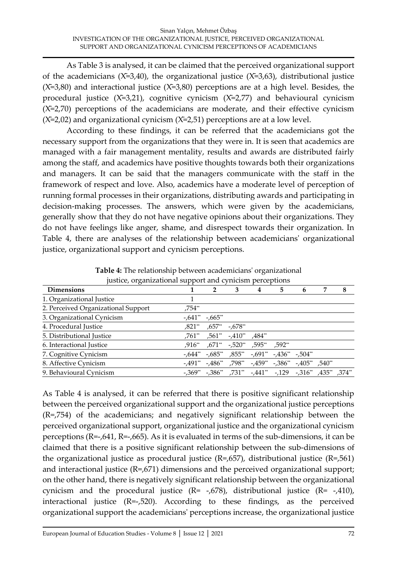As Table 3 is analysed, it can be claimed that the perceived organizational support of the academicians ( $X=3,40$ ), the organizational justice ( $X=3,63$ ), distributional justice  $(X=3,80)$  and interactional justice  $(X=3,80)$  perceptions are at a high level. Besides, the procedural justice  $(X=3,21)$ , cognitive cynicism  $(X=2,77)$  and behavioural cynicism  $(X=2,70)$  perceptions of the academicians are moderate, and their effective cynicism  $(X=2,02)$  and organizational cynicism  $(X=2,51)$  perceptions are at a low level.

According to these findings, it can be referred that the academicians got the necessary support from the organizations that they were in. It is seen that academics are managed with a fair management mentality, results and awards are distributed fairly among the staff, and academics have positive thoughts towards both their organizations and managers. It can be said that the managers communicate with the staff in the framework of respect and love. Also, academics have a moderate level of perception of running formal processes in their organizations, distributing awards and participating in decision-making processes. The answers, which were given by the academicians, generally show that they do not have negative opinions about their organizations. They do not have feelings like anger, shame, and disrespect towards their organization. In Table 4, there are analyses of the relationship between academicians' organizational justice, organizational support and cynicism perceptions.

| <b>Dimensions</b>                   |           |          | 3                                                                                      | 4      | 5 | 6 | 8 |
|-------------------------------------|-----------|----------|----------------------------------------------------------------------------------------|--------|---|---|---|
| 1. Organizational Justice           |           |          |                                                                                        |        |   |   |   |
| 2. Perceived Organizational Support | ,754**    |          |                                                                                        |        |   |   |   |
| 3. Organizational Cynicism          | $-.641**$ | $-665**$ |                                                                                        |        |   |   |   |
| 4. Procedural Justice               | ,821**    | ,657**   | $-.678**$                                                                              |        |   |   |   |
| 5. Distributional Justice           |           |          | ,761** ,561** -,410**                                                                  | ,484** |   |   |   |
| 6. Interactional Justice            | $.916**$  |          | ,671** -,520** ,595** ,592**                                                           |        |   |   |   |
| 7. Cognitive Cynicism               |           |          | $-644$ ** $-685$ ** $685$ ** $-691$ ** $-436$ ** $-504$ **                             |        |   |   |   |
| 8. Affective Cynicism               | -.491**   |          | -,486** ,798** -,459** -,386** -,405** ,540**                                          |        |   |   |   |
| 9. Behavioural Cynicism             |           |          | $-1,369^*$ , $-1,386^*$ , $731^*$ , $-1441^*$ , $-129$ , $-1316^*$ , $435^*$ , $374^*$ |        |   |   |   |

**Table 4:** The relationship between academicians' organizational justice, organizational support and cynicism perceptions

As Table 4 is analysed, it can be referred that there is positive significant relationship between the perceived organizational support and the organizational justice perceptions (R=,754) of the academicians; and negatively significant relationship between the perceived organizational support, organizational justice and the organizational cynicism perceptions (R=-,641, R=-,665). As it is evaluated in terms of the sub-dimensions, it can be claimed that there is a positive significant relationship between the sub-dimensions of the organizational justice as procedural justice  $(R=0.657)$ , distributional justice  $(R=0.561)$ and interactional justice (R=,671) dimensions and the perceived organizational support; on the other hand, there is negatively significant relationship between the organizational cynicism and the procedural justice  $(R= -1678)$ , distributional justice  $(R= -1410)$ , interactional justice (R=-,520). According to these findings, as the perceived organizational support the academicians' perceptions increase, the organizational justice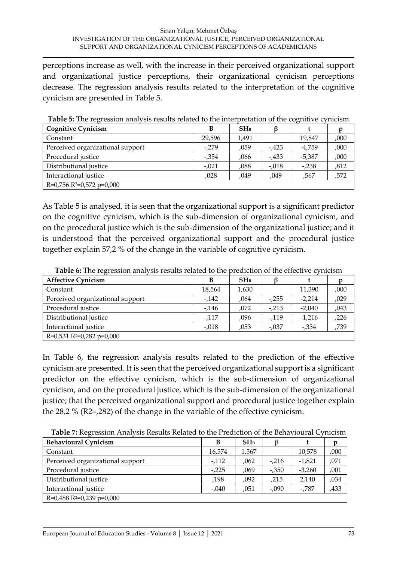perceptions increase as well, with the increase in their perceived organizational support and organizational justice perceptions, their organizational cynicism perceptions decrease. The regression analysis results related to the interpretation of the cognitive cynicism are presented in Table 5.

| Table 9. The regression analysis results related to the interpretation of the cognitive evilicism |         |                 |          |          |      |  |  |  |
|---------------------------------------------------------------------------------------------------|---------|-----------------|----------|----------|------|--|--|--|
| <b>Cognitive Cynicism</b>                                                                         | В       | SH <sub>B</sub> |          |          |      |  |  |  |
| Constant                                                                                          | 29.596  | 1,491           |          | 19.847   | ,000 |  |  |  |
| Perceived organizational support                                                                  | $-.279$ | ,059            | $-0.423$ | $-4,759$ | ,000 |  |  |  |
| Procedural justice                                                                                | $-.354$ | ,066            | $-0.433$ | $-5,387$ | ,000 |  |  |  |
| Distributional justice                                                                            | $-.021$ | ,088            | $-.018$  | $-.238$  | ,812 |  |  |  |
| Interactional justice                                                                             | ,028    | ,049            | ,049     | ,567     | ,572 |  |  |  |
| $R=0,756 R2=0,572 p=0,000$                                                                        |         |                 |          |          |      |  |  |  |

| Table 5: The regression analysis results related to the interpretation of the cognitive cynicism |  |  |  |
|--------------------------------------------------------------------------------------------------|--|--|--|
|--------------------------------------------------------------------------------------------------|--|--|--|

As Table 5 is analysed, it is seen that the organizational support is a significant predictor on the cognitive cynicism, which is the sub-dimension of organizational cynicism, and on the procedural justice which is the sub-dimension of the organizational justice; and it is understood that the perceived organizational support and the procedural justice together explain 57,2 % of the change in the variable of cognitive cynicism.

| <b>Affective Cynicism</b>        | В        | SH <sub>B</sub> |         |          |      |
|----------------------------------|----------|-----------------|---------|----------|------|
| Constant                         | 18,564   | 1,630           |         | 11,390   | ,000 |
| Perceived organizational support | $-0.142$ | ,064            | $-255$  | $-2,214$ | ,029 |
| Procedural justice               | $-146$   | ,072            | $-213$  | $-2,040$ | ,043 |
| Distributional justice           | $-117$   | ,096            | $-119$  | $-1,216$ | ,226 |
| Interactional justice            | $-.018$  | ,053            | $-.037$ | $-.334$  | ,739 |
| $R=0,531 R2=0,282 p=0,000$       |          |                 |         |          |      |

**Table 6:** The regression analysis results related to the prediction of the effective cynicism

In Table 6, the regression analysis results related to the prediction of the effective cynicism are presented. It is seen that the perceived organizational support is a significant predictor on the effective cynicism, which is the sub-dimension of organizational cynicism, and on the procedural justice, which is the sub-dimension of the organizational justice; that the perceived organizational support and procedural justice together explain the 28,2 % (R2=,282) of the change in the variable of the effective cynicism.

**Table 7:** Regression Analysis Results Related to the Prediction of the Behavioural Cynicism

| <b>Behavioural Cynicism</b>      | В      | SH <sub>B</sub> |         |          | D    |
|----------------------------------|--------|-----------------|---------|----------|------|
| Constant                         | 16,574 | 1,567           |         | 10,578   | ,000 |
| Perceived organizational support | $-112$ | ,062            | -,216   | $-1,821$ | ,071 |
| Procedural justice               | $-225$ | ,069            | $-.350$ | $-3,260$ | ,001 |
| Distributional justice           | ,198   | ,092            | ,215    | 2,140    | ,034 |
| Interactional justice            | -,040  | .051            | -,090   | -,787    | ,433 |
| $R=0,488 R2=0,239 p=0,000$       |        |                 |         |          |      |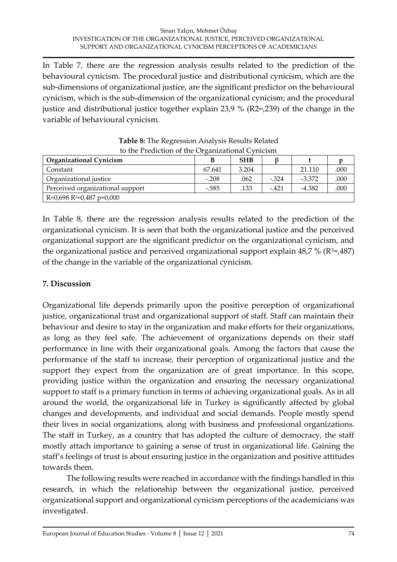In Table 7, there are the regression analysis results related to the prediction of the behavioural cynicism. The procedural justice and distributional cynicism, which are the sub-dimensions of organizational justice, are the significant predictor on the behavioural cynicism, which is the sub-dimension of the organizational cynicism; and the procedural justice and distributional justice together explain 23,9 % (R2=,239) of the change in the variable of behavioural cynicism.

| to the Frediction of the Organizational Cynneisin |         |            |         |          |      |  |  |  |
|---------------------------------------------------|---------|------------|---------|----------|------|--|--|--|
| <b>Organizational Cynicism</b>                    |         | <b>SHB</b> |         |          |      |  |  |  |
| Constant                                          | 67.641  | 3.204      |         | 21.110   | .000 |  |  |  |
| Organizational justice                            | $-.208$ | .062       | $-.324$ | $-3.372$ | .000 |  |  |  |
| Perceived organizational support                  | $-.585$ | .133       | $-.421$ | $-4.382$ | .000 |  |  |  |
| $R=0,698 R^2=0,487 p=0,000$                       |         |            |         |          |      |  |  |  |

**Table 8:** The Regression Analysis Results Related to the Prediction of the Organizational Cynicism

In Table 8, there are the regression analysis results related to the prediction of the organizational cynicism. It is seen that both the organizational justice and the perceived organizational support are the significant predictor on the organizational cynicism, and the organizational justice and perceived organizational support explain  $48.7\%$  (R<sup>2</sup>=,487) of the change in the variable of the organizational cynicism.

# **7. Discussion**

Organizational life depends primarily upon the positive perception of organizational justice, organizational trust and organizational support of staff. Staff can maintain their behaviour and desire to stay in the organization and make efforts for their organizations, as long as they feel safe. The achievement of organizations depends on their staff performance in line with their organizational goals. Among the factors that cause the performance of the staff to increase, their perception of organizational justice and the support they expect from the organization are of great importance. In this scope, providing justice within the organization and ensuring the necessary organizational support to staff is a primary function in terms of achieving organizational goals. As in all around the world, the organizational life in Turkey is significantly affected by global changes and developments, and individual and social demands. People mostly spend their lives in social organizations, along with business and professional organizations. The staff in Turkey, as a country that has adopted the culture of democracy, the staff mostly attach importance to gaining a sense of trust in organizational life. Gaining the staff's feelings of trust is about ensuring justice in the organization and positive attitudes towards them.

The following results were reached in accordance with the findings handled in this research, in which the relationship between the organizational justice, perceived organizational support and organizational cynicism perceptions of the academicians was investigated.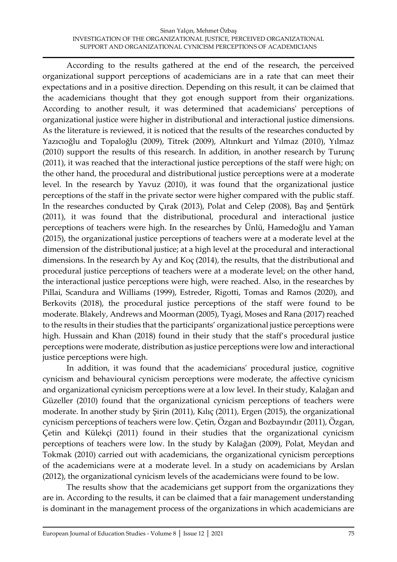According to the results gathered at the end of the research, the perceived organizational support perceptions of academicians are in a rate that can meet their expectations and in a positive direction. Depending on this result, it can be claimed that the academicians thought that they got enough support from their organizations. According to another result, it was determined that academicians' perceptions of organizational justice were higher in distributional and interactional justice dimensions. As the literature is reviewed, it is noticed that the results of the researches conducted by Yazıcıoğlu and Topaloğlu (2009), Titrek (2009), Altınkurt and Yılmaz (2010), Yılmaz (2010) support the results of this research. In addition, in another research by Turunç (2011), it was reached that the interactional justice perceptions of the staff were high; on the other hand, the procedural and distributional justice perceptions were at a moderate level. In the research by Yavuz (2010), it was found that the organizational justice perceptions of the staff in the private sector were higher compared with the public staff. In the researches conducted by Çırak (2013), Polat and Celep (2008), Baş and Şentürk (2011), it was found that the distributional, procedural and interactional justice perceptions of teachers were high. In the researches by Ünlü, Hamedoğlu and Yaman (2015), the organizational justice perceptions of teachers were at a moderate level at the dimension of the distributional justice; at a high level at the procedural and interactional dimensions. In the research by Ay and Koç (2014), the results, that the distributional and procedural justice perceptions of teachers were at a moderate level; on the other hand, the interactional justice perceptions were high, were reached. Also, in the researches by Pillai, Scandura and Williams (1999), Estreder, Rigotti, Tomas and Ramos (2020), and Berkovits (2018), the procedural justice perceptions of the staff were found to be moderate. Blakely, Andrews and Moorman (2005), Tyagi, Moses and Rana (2017) reached to the results in their studies that the participants' organizational justice perceptions were high. Hussain and Khan (2018) found in their study that the staff's procedural justice perceptions were moderate, distribution as justice perceptions were low and interactional justice perceptions were high.

In addition, it was found that the academicians' procedural justice, cognitive cynicism and behavioural cynicism perceptions were moderate, the affective cynicism and organizational cynicism perceptions were at a low level. In their study, Kalağan and Güzeller (2010) found that the organizational cynicism perceptions of teachers were moderate. In another study by Şirin (2011), Kılıç (2011), Ergen (2015), the organizational cynicism perceptions of teachers were low. Çetin, Özgan and Bozbayındır (2011), Özgan, Çetin and Külekçi (2011) found in their studies that the organizational cynicism perceptions of teachers were low. In the study by Kalağan (2009), Polat, Meydan and Tokmak (2010) carried out with academicians, the organizational cynicism perceptions of the academicians were at a moderate level. In a study on academicians by Arslan (2012), the organizational cynicism levels of the academicians were found to be low.

The results show that the academicians get support from the organizations they are in. According to the results, it can be claimed that a fair management understanding is dominant in the management process of the organizations in which academicians are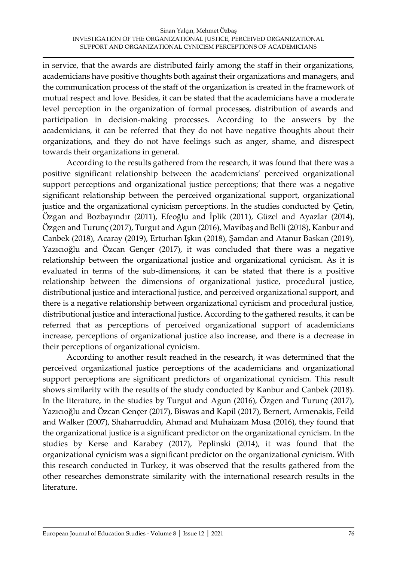in service, that the awards are distributed fairly among the staff in their organizations, academicians have positive thoughts both against their organizations and managers, and the communication process of the staff of the organization is created in the framework of mutual respect and love. Besides, it can be stated that the academicians have a moderate level perception in the organization of formal processes, distribution of awards and participation in decision-making processes. According to the answers by the academicians, it can be referred that they do not have negative thoughts about their organizations, and they do not have feelings such as anger, shame, and disrespect towards their organizations in general.

According to the results gathered from the research, it was found that there was a positive significant relationship between the academicians' perceived organizational support perceptions and organizational justice perceptions; that there was a negative significant relationship between the perceived organizational support, organizational justice and the organizational cynicism perceptions. In the studies conducted by Çetin, Özgan and Bozbayındır (2011), Efeoğlu and İplik (2011), Güzel and Ayazlar (2014), Özgen and Turunç (2017), Turgut and Agun (2016), Mavibaş and Belli (2018), Kanbur and Canbek (2018), Acaray (2019), Erturhan Işkın (2018), Şamdan and Atanur Baskan (2019), Yazıcıoğlu and Özcan Gençer (2017), it was concluded that there was a negative relationship between the organizational justice and organizational cynicism. As it is evaluated in terms of the sub-dimensions, it can be stated that there is a positive relationship between the dimensions of organizational justice, procedural justice, distributional justice and interactional justice, and perceived organizational support, and there is a negative relationship between organizational cynicism and procedural justice, distributional justice and interactional justice. According to the gathered results, it can be referred that as perceptions of perceived organizational support of academicians increase, perceptions of organizational justice also increase, and there is a decrease in their perceptions of organizational cynicism.

According to another result reached in the research, it was determined that the perceived organizational justice perceptions of the academicians and organizational support perceptions are significant predictors of organizational cynicism. This result shows similarity with the results of the study conducted by Kanbur and Canbek (2018). In the literature, in the studies by Turgut and Agun (2016), Özgen and Turunç (2017), Yazıcıoğlu and Özcan Gençer (2017), Biswas and Kapil (2017), Bernert, Armenakis, Feild and Walker (2007), Shaharruddin, Ahmad and Muhaizam Musa (2016), they found that the organizational justice is a significant predictor on the organizational cynicism. In the studies by Kerse and Karabey (2017), Peplinski (2014), it was found that the organizational cynicism was a significant predictor on the organizational cynicism. With this research conducted in Turkey, it was observed that the results gathered from the other researches demonstrate similarity with the international research results in the literature.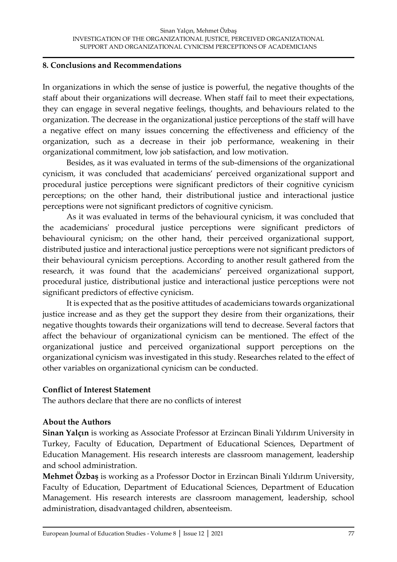#### **8. Conclusions and Recommendations**

In organizations in which the sense of justice is powerful, the negative thoughts of the staff about their organizations will decrease. When staff fail to meet their expectations, they can engage in several negative feelings, thoughts, and behaviours related to the organization. The decrease in the organizational justice perceptions of the staff will have a negative effect on many issues concerning the effectiveness and efficiency of the organization, such as a decrease in their job performance, weakening in their organizational commitment, low job satisfaction, and low motivation.

Besides, as it was evaluated in terms of the sub-dimensions of the organizational cynicism, it was concluded that academicians' perceived organizational support and procedural justice perceptions were significant predictors of their cognitive cynicism perceptions; on the other hand, their distributional justice and interactional justice perceptions were not significant predictors of cognitive cynicism.

As it was evaluated in terms of the behavioural cynicism, it was concluded that the academicians' procedural justice perceptions were significant predictors of behavioural cynicism; on the other hand, their perceived organizational support, distributed justice and interactional justice perceptions were not significant predictors of their behavioural cynicism perceptions. According to another result gathered from the research, it was found that the academicians' perceived organizational support, procedural justice, distributional justice and interactional justice perceptions were not significant predictors of effective cynicism.

It is expected that as the positive attitudes of academicians towards organizational justice increase and as they get the support they desire from their organizations, their negative thoughts towards their organizations will tend to decrease. Several factors that affect the behaviour of organizational cynicism can be mentioned. The effect of the organizational justice and perceived organizational support perceptions on the organizational cynicism was investigated in this study. Researches related to the effect of other variables on organizational cynicism can be conducted.

### **Conflict of Interest Statement**

The authors declare that there are no conflicts of interest

### **About the Authors**

**Sinan Yalçın** is working as Associate Professor at Erzincan Binali Yıldırım University in Turkey, Faculty of Education, Department of Educational Sciences, Department of Education Management. His research interests are classroom management, leadership and school administration.

**Mehmet Özbaş** is working as a Professor Doctor in Erzincan Binali Yıldırım University, Faculty of Education, Department of Educational Sciences, Department of Education Management. His research interests are classroom management, leadership, school administration, disadvantaged children, absenteeism.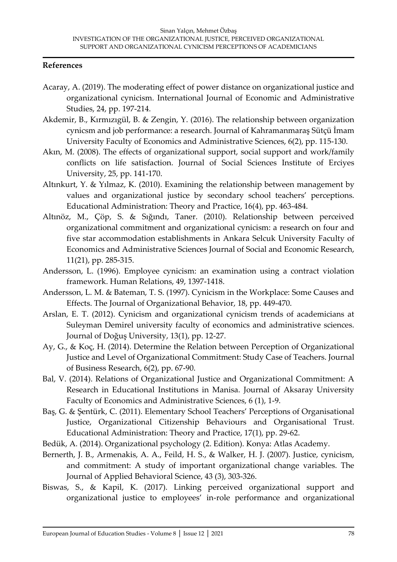#### **References**

- Acaray, A. (2019). The moderating effect of power distance on organizational justice and organizational cynicism. International Journal of Economic and Administrative Studies, 24, pp. 197-214.
- Akdemir, B., Kırmızıgül, B. & Zengin, Y. (2016). The relationship between organization cynicsm and job performance: a research. Journal of Kahramanmaraş Sütçü İmam University Faculty of Economics and Administrative Sciences, 6(2), pp. 115-130.
- Akın, M. (2008). The effects of organizational support, social support and work/family conflicts on life satisfaction. Journal of Social Sciences Institute of Erciyes University, 25, pp. 141-170.
- Altınkurt, Y. & Yılmaz, K. (2010). Examining the relationship between management by values and organizational justice by secondary school teachers' perceptions. Educational Administration: Theory and Practice, 16(4), pp. 463-484.
- Altınöz, M., Çöp, S. & Sığındı, Taner. (2010). Relationship between perceived organizational commitment and organizational cynicism: a research on four and five star accommodation establishments in Ankara Selcuk University Faculty of Economics and Administrative Sciences Journal of Social and Economic Research, 11(21), pp. 285-315.
- Andersson, L. (1996). Employee cynicism: an examination using a contract violation framework. Human Relations, 49, 1397-1418.
- Andersson, L. M. & Bateman, T. S. (1997). Cynicism in the Workplace: Some Causes and Effects. The Journal of Organizational Behavior, 18, pp. 449-470.
- Arslan, E. T. (2012). Cynicism and organizational cynicism trends of academicians at Suleyman Demirel university faculty of economics and administrative sciences. Journal of Doğuş University, 13(1), pp. 12-27.
- Ay, G., & Koç, H. (2014). Determine the Relation between Perception of Organizational Justice and Level of Organizational Commitment: Study Case of Teachers. Journal of Business Research, 6(2), pp. 67-90.
- Bal, V. (2014). Relations of Organizational Justice and Organizational Commitment: A Research in Educational Institutions in Manisa. Journal of Aksaray University Faculty of Economics and Administrative Sciences, 6 (1), 1-9.
- Baş, G. & Şentürk, C. (2011). Elementary School Teachers' Perceptions of Organisational Justice, Organizational Citizenship Behaviours and Organisational Trust. Educational Administration: Theory and Practice, 17(1), pp. 29-62.
- Bedük, A. (2014). Organizational psychology (2. Edition). Konya: Atlas Academy.
- Bernerth, J. B., Armenakis, A. A., Feild, H. S., & Walker, H. J. (2007). Justice, cynicism, and commitment: A study of important organizational change variables. The Journal of Applied Behavioral Science, 43 (3), 303-326.
- Biswas, S., & Kapil, K. (2017). Linking perceived organizational support and organizational justice to employees' in-role performance and organizational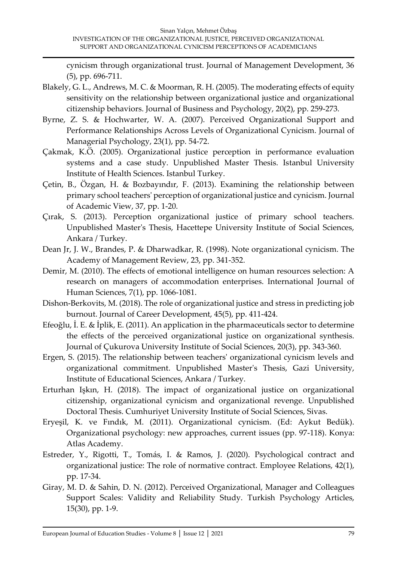cynicism through organizational trust. Journal of Management Development, 36 (5), pp. 696-711.

- Blakely, G. L., Andrews, M. C. & Moorman, R. H. (2005). The moderating effects of equity sensitivity on the relationship between organizational justice and organizational citizenship behaviors. Journal of Business and Psychology, 20(2), pp. 259-273.
- Byrne, Z. S. & Hochwarter, W. A. (2007). Perceived Organizational Support and Performance Relationships Across Levels of Organizational Cynicism. Journal of Managerial Psychology, 23(1), pp. 54-72.
- Çakmak, K.Ö. (2005). Organizational justice perception in performance evaluation systems and a case study. Unpublished Master Thesis. Istanbul University Institute of Health Sciences. Istanbul Turkey.
- Çetin, B., Özgan, H. & Bozbayındır, F. (2013). Examining the relationship between primary school teachers' perception of organizational justice and cynicism. Journal of Academic View, 37, pp. 1-20.
- Çırak, S. (2013). Perception organizational justice of primary school teachers. Unpublished Master's Thesis, Hacettepe University Institute of Social Sciences, Ankara / Turkey.
- Dean Jr, J. W., Brandes, P. & Dharwadkar, R. (1998). Note organizational cynicism. The Academy of Management Review, 23, pp. 341-352.
- Demir, M. (2010). The effects of emotional intelligence on human resources selection: A research on managers of accommodation enterprises. International Journal of Human Sciences, 7(1), pp. 1066-1081.
- Dishon-Berkovits, M. (2018). The role of organizational justice and stress in predicting job burnout. Journal of Career Development, 45(5), pp. 411-424.
- Efeoğlu, İ. E. & İplik, E. (2011). An application in the pharmaceuticals sector to determine the effects of the perceived organizational justice on organizational synthesis. Journal of Çukurova University Institute of Social Sciences, 20(3), pp. 343-360.
- Ergen, S. (2015). The relationship between teachers' organizational cynicism levels and organizational commitment. Unpublished Master's Thesis, Gazi University, Institute of Educational Sciences, Ankara / Turkey.
- Erturhan Işkın, H. (2018). The impact of organizational justice on organizational citizenship, organizational cynicism and organizational revenge. Unpublished Doctoral Thesis. Cumhuriyet University Institute of Social Sciences, Sivas.
- Eryeşil, K. ve Fındık, M. (2011). Organizational cynicism. (Ed: Aykut Bedük). Organizational psychology: new approaches, current issues (pp. 97-118). Konya: Atlas Academy.
- Estreder, Y., Rigotti, T., Tomás, I. & Ramos, J. (2020). Psychological contract and organizational justice: The role of normative contract. Employee Relations, 42(1), pp. 17-34.
- Giray, M. D. & Sahin, D. N. (2012). Perceived Organizational, Manager and Colleagues Support Scales: Validity and Reliability Study. Turkish Psychology Articles, 15(30), pp. 1-9.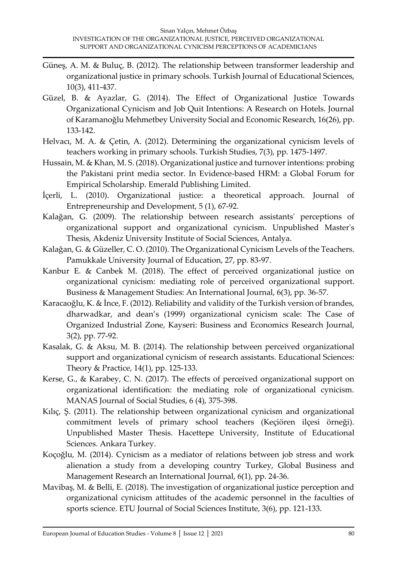- Güneş, A. M. & Buluç, B. (2012). The relationship between transformer leadership and organizational justice in primary schools. Turkish Journal of Educational Sciences, 10(3), 411-437.
- Güzel, B. & Ayazlar, G. (2014). The Effect of Organizational Justice Towards Organizational Cynicism and Job Quit Intentions: A Research on Hotels. Journal of Karamanoğlu Mehmetbey University Social and Economic Research, 16(26), pp. 133-142.
- Helvacı, M. A. & Çetin, A. (2012). Determining the organizational cynicism levels of teachers working in primary schools. Turkish Studies, 7(3), pp. 1475-1497.
- Hussain, M. & Khan, M. S. (2018). Organizational justice and turnover intentions: probing the Pakistani print media sector. In Evidence-based HRM: a Global Forum for Empirical Scholarship. Emerald Publishing Limited.
- İçerli, L. (2010). Organizational justice: a theoretical approach. Journal of Entrepreneurship and Development, 5 (1), 67-92.
- Kalağan, G. (2009). The relationship between research assistants' perceptions of organizational support and organizational cynicism. Unpublished Master's Thesis, Akdeniz University Institute of Social Sciences, Antalya.
- Kalağan, G. & Güzeller, C. O. (2010). The Organizational Cynicism Levels of the Teachers. Pamukkale University Journal of Education, 27, pp. 83-97.
- Kanbur E. & Canbek M. (2018). The effect of perceived organizational justice on organizational cynicism: mediating role of perceived organizational support. Business & Management Studies: An International Journal, 6(3), pp. 36-57.
- Karacaoğlu, K. & İnce, F. (2012). Reliability and validity of the Turkish version of brandes, dharwadkar, and dean's (1999) organizational cynicism scale: The Case of Organized Industrial Zone, Kayseri: Business and Economics Research Journal, 3(2), pp. 77-92.
- Kasalak, G. & Aksu, M. B. (2014). The relationship between perceived organizational support and organizational cynicism of research assistants. Educational Sciences: Theory & Practice, 14(1), pp. 125-133.
- Kerse, G., & Karabey, C. N. (2017). The effects of perceived organizational support on organizational identification: the mediating role of organizational cynicism. MANAS Journal of Social Studies, 6 (4), 375-398.
- Kılıç, Ş. (2011). The relationship between organizational cynicism and organizational commitment levels of primary school teachers (Keçiören ilçesi örneği). Unpublished Master Thesis. Hacettepe University, Institute of Educational Sciences. Ankara Turkey.
- Koçoğlu, M. (2014). Cynicism as a mediator of relations between job stress and work alienation a study from a developing country Turkey, Global Business and Management Research an International Journal, 6(1), pp. 24-36.
- Mavibaş, M. & Belli, E. (2018). The investigation of organizational justice perception and organizational cynicism attitudes of the academic personnel in the faculties of sports science. ETU Journal of Social Sciences Institute, 3(6), pp. 121-133.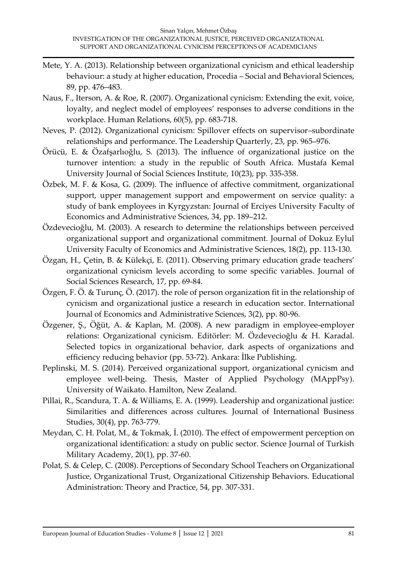- Mete, Y. A. (2013). Relationship between organizational cynicism and ethical leadership behaviour: a study at higher education, Procedia – Social and Behavioral Sciences, 89, pp. 476–483.
- Naus, F., Iterson, A. & Roe, R. (2007). Organizational cynicism: Extending the exit, voice, loyalty, and neglect model of employees' responses to adverse conditions in the workplace. Human Relations, 60(5), pp. 683-718.
- Neves, P. (2012). Organizational cynicism: Spillover effects on supervisor–subordinate relationships and performance. The Leadership Quarterly, 23, pp. 965–976.
- Örücü, E. & Özafşarlıoğlu, S. (2013). The influence of organizational justice on the turnover intention: a study in the republic of South Africa. Mustafa Kemal University Journal of Social Sciences Institute, 10(23), pp. 335-358.
- Özbek, M. F. & Kosa, G. (2009). The influence of affective commitment, organizational support, upper management support and empowerment on service quality: a study of bank employees in Kyrgyzstan: Journal of Erciyes University Faculty of Economics and Administrative Sciences, 34, pp. 189–212.
- Özdevecioğlu, M. (2003). A research to determine the relationships between perceived organizational support and organizational commitment. Journal of Dokuz Eylul University Faculty of Economics and Administrative Sciences, 18(2), pp. 113-130.
- Özgan, H., Çetin, B. & Külekçi, E. (2011). Observing primary education grade teachers' organizational cynicism levels according to some specific variables. Journal of Social Sciences Research, 17, pp. 69-84.
- Özgen, F. Ö. & Turunç, Ö. (2017). the role of person organization fit in the relationship of cynicism and organizational justice a research in education sector. International Journal of Economics and Administrative Sciences, 3(2), pp. 80-96.
- Özgener, Ş., Öğüt, A. & Kaplan, M. (2008). A new paradigm in employee-employer relations: Organizational cynicism. Editörler: M. Özdevecioğlu & H. Karadal. Selected topics in organizational behavior, dark aspects of organizations and efficiency reducing behavior (pp. 53-72). Ankara: İlke Publishing.
- Peplinski, M. S. (2014). Perceived organizational support, organizational cynicism and employee well-being. Thesis, Master of Applied Psychology (MAppPsy). University of Waikato. Hamilton, New Zealand.
- Pillai, R., Scandura, T. A. & Williams, E. A. (1999). Leadership and organizational justice: Similarities and differences across cultures. Journal of International Business Studies, 30(4), pp. 763-779.
- Meydan, C. H. Polat, M., & Tokmak, İ. (2010). The effect of empowerment perception on organizational identification: a study on public sector. Science Journal of Turkish Military Academy, 20(1), pp. 37-60.
- Polat, S. & Celep, C. (2008). Perceptions of Secondary School Teachers on Organizational Justice, Organizational Trust, Organizational Citizenship Behaviors. Educational Administration: Theory and Practice, 54, pp. 307-331.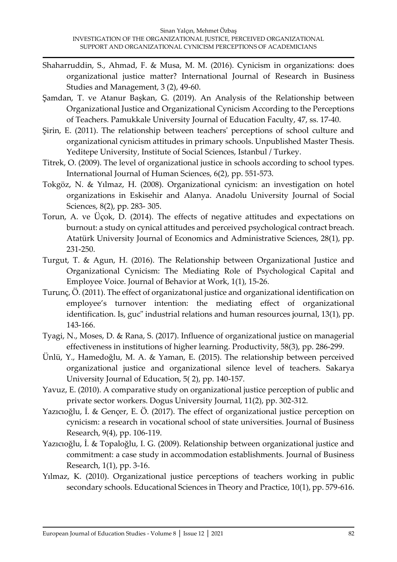- Shaharruddin, S., Ahmad, F. & Musa, M. M. (2016). Cynicism in organizations: does organizational justice matter? International Journal of Research in Business Studies and Management, 3 (2), 49-60.
- Şamdan, T. ve Atanur Başkan, G. (2019). An Analysis of the Relationship between Organizational Justice and Organizational Cynicism According to the Perceptions of Teachers. Pamukkale University Journal of Education Faculty, 47, ss. 17-40.
- Şirin, E. (2011). The relationship between teachers' perceptions of school culture and organizational cynicism attitudes in primary schools. Unpublished Master Thesis. Yeditepe University, Institute of Social Sciences, Istanbul / Turkey.
- Titrek, O. (2009). The level of organizational justice in schools according to school types. International Journal of Human Sciences, 6(2), pp. 551-573.
- Tokgöz, N. & Yılmaz, H. (2008). Organizational cynicism: an investigation on hotel organizations in Eskisehir and Alanya. Anadolu University Journal of Social Sciences, 8(2), pp. 283- 305.
- Torun, A. ve Üçok, D. (2014). The effects of negative attitudes and expectations on burnout: a study on cynical attitudes and perceived psychological contract breach. Atatürk University Journal of Economics and Administrative Sciences, 28(1), pp. 231-250.
- Turgut, T. & Agun, H. (2016). The Relationship between Organizational Justice and Organizational Cynicism: The Mediating Role of Psychological Capital and Employee Voice. Journal of Behavior at Work, 1(1), 15-26.
- Turunç, Ö. (2011). The effect of organizatıonal justice and organizational identification on employee's turnover intention: the mediating effect of organizational identification. Is, guc" industrial relations and human resources journal, 13(1), pp. 143-166.
- Tyagi, N., Moses, D. & Rana, S. (2017). Influence of organizational justice on managerial effectiveness in institutions of higher learning. Productivity, 58(3), pp. 286-299.
- Ünlü, Y., Hamedoğlu, M. A. & Yaman, E. (2015). The relationship between perceived organizational justice and organizational silence level of teachers. Sakarya University Journal of Education, 5( 2), pp. 140-157.
- Yavuz, E. (2010). A comparative study on organizational justice perception of public and private sector workers. Dogus University Journal, 11(2), pp. 302-312.
- Yazıcıoğlu, İ. & Gençer, E. Ö. (2017). The effect of organizational justice perception on cynicism: a research in vocational school of state universities. Journal of Business Research, 9(4), pp. 106-119.
- Yazıcıoğlu, İ. & Topaloğlu, I. G. (2009). Relationship between organizational justice and commitment: a case study in accommodation establishments. Journal of Business Research, 1(1), pp. 3-16.
- Yılmaz, K. (2010). Organizational justice perceptions of teachers working in public secondary schools. Educational Sciences in Theory and Practice, 10(1), pp. 579-616.